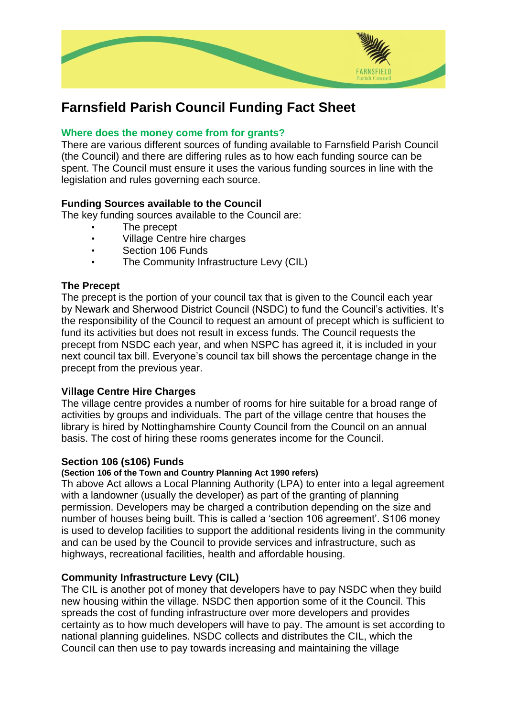

# **Farnsfield Parish Council Funding Fact Sheet**

## **Where does the money come from for grants?**

There are various different sources of funding available to Farnsfield Parish Council (the Council) and there are differing rules as to how each funding source can be spent. The Council must ensure it uses the various funding sources in line with the legislation and rules governing each source.

## **Funding Sources available to the Council**

The key funding sources available to the Council are:

- The precept
- Village Centre hire charges
- Section 106 Funds
- The Community Infrastructure Levy (CIL)

### **The Precept**

The precept is the portion of your council tax that is given to the Council each year by Newark and Sherwood District Council (NSDC) to fund the Council's activities. It's the responsibility of the Council to request an amount of precept which is sufficient to fund its activities but does not result in excess funds. The Council requests the precept from NSDC each year, and when NSPC has agreed it, it is included in your next council tax bill. Everyone's council tax bill shows the percentage change in the precept from the previous year.

### **Village Centre Hire Charges**

The village centre provides a number of rooms for hire suitable for a broad range of activities by groups and individuals. The part of the village centre that houses the library is hired by Nottinghamshire County Council from the Council on an annual basis. The cost of hiring these rooms generates income for the Council.

### **Section 106 (s106) Funds**

### **(Section 106 of the Town and Country Planning Act 1990 refers)**

Th above Act allows a Local Planning Authority (LPA) to enter into a legal agreement with a landowner (usually the developer) as part of the granting of planning permission. Developers may be charged a contribution depending on the size and number of houses being built. This is called a 'section 106 agreement'. S106 money is used to develop facilities to support the additional residents living in the community and can be used by the Council to provide services and infrastructure, such as highways, recreational facilities, health and affordable housing.

## **Community Infrastructure Levy (CIL)**

The CIL is another pot of money that developers have to pay NSDC when they build new housing within the village. NSDC then apportion some of it the Council. This spreads the cost of funding infrastructure over more developers and provides certainty as to how much developers will have to pay. The amount is set according to national planning guidelines. NSDC collects and distributes the CIL, which the Council can then use to pay towards increasing and maintaining the village